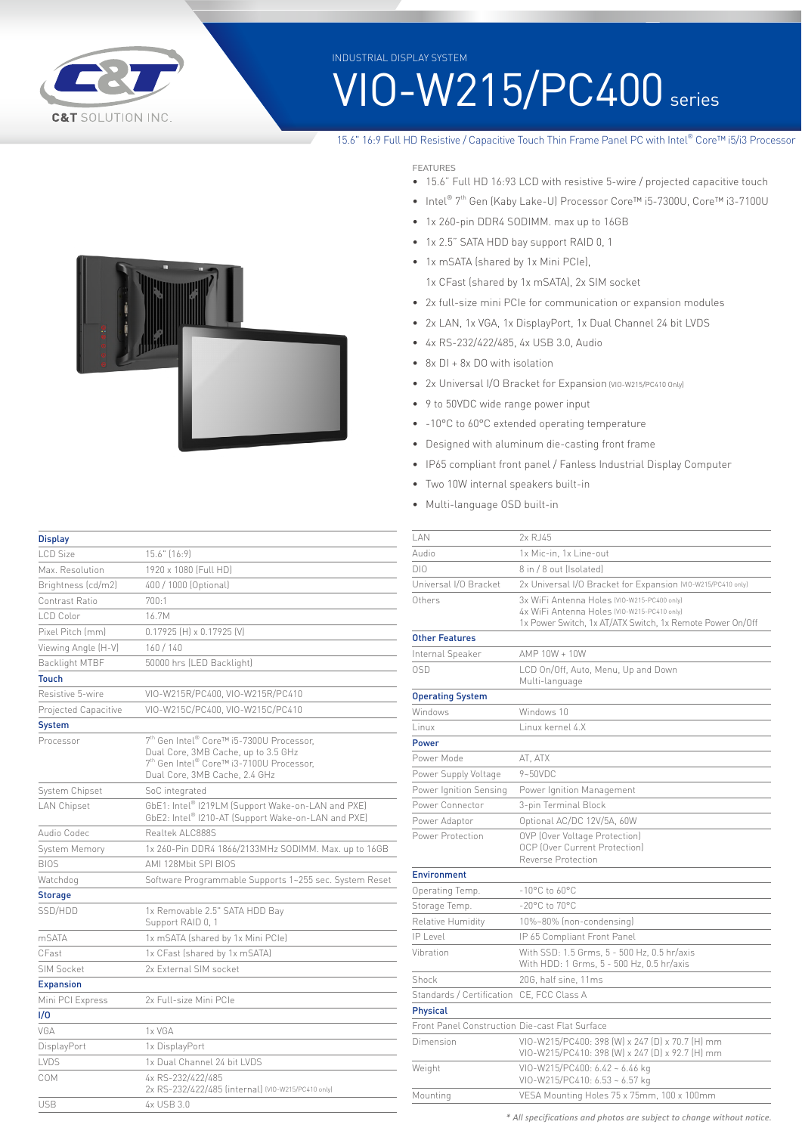

INDUSTRIAL DISPLAY SYSTEM

# VIO-W215/PC400 series

### 15.6" 16:9 Full HD Resistive / Capacitive Touch Thin Frame Panel PC with Intel® Core™ i5/i3 Processor

FEATURES

- 15.6" Full HD 16:93 LCD with resistive 5-wire / projected capacitive touch
- Intel® 7th Gen (Kaby Lake-U) Processor Core™ i5-7300U, Core™ i3-7100U
- 1x 260-pin DDR4 SODIMM. max up to 16GB
- 1x 2.5" SATA HDD bay support RAID 0, 1
- 1x mSATA (shared by 1x Mini PCIe),
	- 1x CFast (shared by 1x mSATA), 2x SIM socket
- 2x full-size mini PCIe for communication or expansion modules
- 2x LAN, 1x VGA, 1x DisplayPort, 1x Dual Channel 24 bit LVDS
- 4x RS-232/422/485, 4x USB 3.0, Audio
- 8x DI + 8x DO with isolation
- 2x Universal I/O Bracket for Expansion (VIO-W215/PC410 Only)
- 9 to 50VDC wide range power input
- -10°C to 60°C extended operating temperature
- Designed with aluminum die-casting front frame
- IP65 compliant front panel / Fanless Industrial Display Computer
- Two 10W internal speakers built-in
- Multi-language OSD built-in

| <b>Display</b>                                                                 |                                                                                                                                                                                                  |  |
|--------------------------------------------------------------------------------|--------------------------------------------------------------------------------------------------------------------------------------------------------------------------------------------------|--|
| LCD Size                                                                       | 15.6" (16:9)                                                                                                                                                                                     |  |
| Max. Resolution                                                                | 1920 x 1080 [Full HD]                                                                                                                                                                            |  |
| Brightness (cd/m2)                                                             | 400 / 1000 (Optional)                                                                                                                                                                            |  |
| Contrast Ratio                                                                 | 700:1                                                                                                                                                                                            |  |
| LCD Color                                                                      | 16.7M                                                                                                                                                                                            |  |
| Pixel Pitch (mm)                                                               | $0.17925$ [H] $\times$ 0.17925 [V]                                                                                                                                                               |  |
| Viewing Angle (H-V)                                                            | 160/140                                                                                                                                                                                          |  |
| <b>Backlight MTBF</b>                                                          | 50000 hrs (LED Backlight)                                                                                                                                                                        |  |
| <b>Touch</b>                                                                   |                                                                                                                                                                                                  |  |
| Resistive 5-wire                                                               | VIO-W215R/PC400, VIO-W215R/PC410                                                                                                                                                                 |  |
| Projected Capacitive                                                           | VIO-W215C/PC400, VIO-W215C/PC410                                                                                                                                                                 |  |
| <b>System</b>                                                                  |                                                                                                                                                                                                  |  |
| Processor                                                                      | 7 <sup>th</sup> Gen Intel <sup>®</sup> Core™ i5-7300U Processor,<br>Dual Core, 3MB Cache, up to 3.5 GHz<br>7 <sup>th</sup> Gen Intel® Core™ i3-7100U Processor,<br>Dual Core, 3MB Cache, 2.4 GHz |  |
| System Chipset                                                                 | SoC integrated                                                                                                                                                                                   |  |
| <b>LAN Chipset</b>                                                             | GbE1: Intel® I219LM (Support Wake-on-LAN and PXE)<br>GbE2: Intel® I210-AT (Support Wake-on-LAN and PXE)                                                                                          |  |
| Audio Codec                                                                    | Realtek ALC888S                                                                                                                                                                                  |  |
| System Memory                                                                  | 1x 260-Pin DDR4 1866/2133MHz SODIMM. Max. up to 16GB                                                                                                                                             |  |
| <b>BIOS</b>                                                                    | AMI 128Mbit SPI BIOS                                                                                                                                                                             |  |
| Watchdog                                                                       | Software Programmable Supports 1~255 sec. System Reset                                                                                                                                           |  |
| <b>Storage</b>                                                                 |                                                                                                                                                                                                  |  |
| SSD/HDD                                                                        | 1x Removable 2.5" SATA HDD Bay<br>Support RAID 0, 1                                                                                                                                              |  |
| m <sub>SATA</sub>                                                              | 1x mSATA (shared by 1x Mini PCIe)                                                                                                                                                                |  |
| CFast                                                                          | 1x CFast (shared by 1x mSATA)                                                                                                                                                                    |  |
| <b>SIM Socket</b>                                                              | 2x External SIM socket                                                                                                                                                                           |  |
| <b>Expansion</b>                                                               |                                                                                                                                                                                                  |  |
| Mini PCI Express                                                               | 2x Full-size Mini PCIe                                                                                                                                                                           |  |
| 1/0                                                                            |                                                                                                                                                                                                  |  |
| VGA                                                                            | 1x VGA                                                                                                                                                                                           |  |
| DisplayPort                                                                    | 1x DisplayPort                                                                                                                                                                                   |  |
| LVDS                                                                           | 1x Dual Channel 24 bit LVDS                                                                                                                                                                      |  |
| COM<br>4x RS-232/422/485<br>2x RS-232/422/485 (internal) (VIO-W215/PC410 only) |                                                                                                                                                                                                  |  |

USB 4x USB 3.0

| I AN                                           | 2x R.J45                                                                                                 |  |
|------------------------------------------------|----------------------------------------------------------------------------------------------------------|--|
| Audio                                          | 1x Mic-in, 1x Line-out                                                                                   |  |
| DI0                                            | 8 in / 8 out (Isolated)                                                                                  |  |
| Universal I/O Bracket                          | 2x Universal I/O Bracket for Expansion (VIO-W215/PC410 only)                                             |  |
| Others                                         | 3x WiFi Antenna Holes (VIO-W215-PC400 only)                                                              |  |
|                                                | 4x WiFi Antenna Holes (VIO-W215-PC410 only)<br>1x Power Switch, 1x AT/ATX Switch, 1x Remote Power On/Off |  |
| <b>Other Features</b>                          |                                                                                                          |  |
| Internal Speaker                               | AMP 10W + 10W                                                                                            |  |
| 0SD                                            | LCD On/Off, Auto, Menu, Up and Down<br>Multi-language                                                    |  |
| <b>Operating System</b>                        |                                                                                                          |  |
| Windows                                        | Windows 10                                                                                               |  |
| Linux                                          | Linux kernel 4.X                                                                                         |  |
| <b>Power</b>                                   |                                                                                                          |  |
| Power Mode                                     | AT, ATX                                                                                                  |  |
| Power Supply Voltage                           | $9 - 50$ VDC                                                                                             |  |
| Power Ignition Sensing                         | Power Ignition Management                                                                                |  |
| Power Connector                                | 3-pin Terminal Block                                                                                     |  |
| Power Adaptor                                  | Optional AC/DC 12V/5A, 60W                                                                               |  |
| Power Protection                               | OVP (Over Voltage Protection)<br>OCP (Over Current Protection)<br>Reverse Protection                     |  |
| <b>Environment</b>                             |                                                                                                          |  |
| Operating Temp.                                | $-10^{\circ}$ C to 60 $^{\circ}$ C                                                                       |  |
| Storage Temp.                                  | $-20^{\circ}$ C to $70^{\circ}$ C                                                                        |  |
| <b>Relative Humidity</b>                       | 10%~80% (non-condensing)                                                                                 |  |
| $IP$   evel                                    | IP 65 Compliant Front Panel                                                                              |  |
| Vibration                                      | With SSD: 1.5 Grms, 5 - 500 Hz, 0.5 hr/axis<br>With HDD: 1 Grms, 5 - 500 Hz, 0.5 hr/axis                 |  |
| Shock                                          | 20G, half sine, 11ms                                                                                     |  |
| Standards / Certification CE, FCC Class A      |                                                                                                          |  |
| <b>Physical</b>                                |                                                                                                          |  |
| Front Panel Construction Die-cast Flat Surface |                                                                                                          |  |
| Dimension                                      | VIO-W215/PC400: 398 (W) x 247 (D) x 70.7 (H) mm<br>VIO-W215/PC410: 398 (W) x 247 (D) x 92.7 (H) mm       |  |
| Weight                                         | VIO-W215/PC400: 6.42 ~ 6.46 kg<br>VIO-W215/PC410: 6.53 ~ 6.57 kg                                         |  |
| Mounting                                       | VESA Mounting Holes 75 x 75mm, 100 x 100mm                                                               |  |
|                                                |                                                                                                          |  |

*\* All specifications and photos are subject to change without notice.*

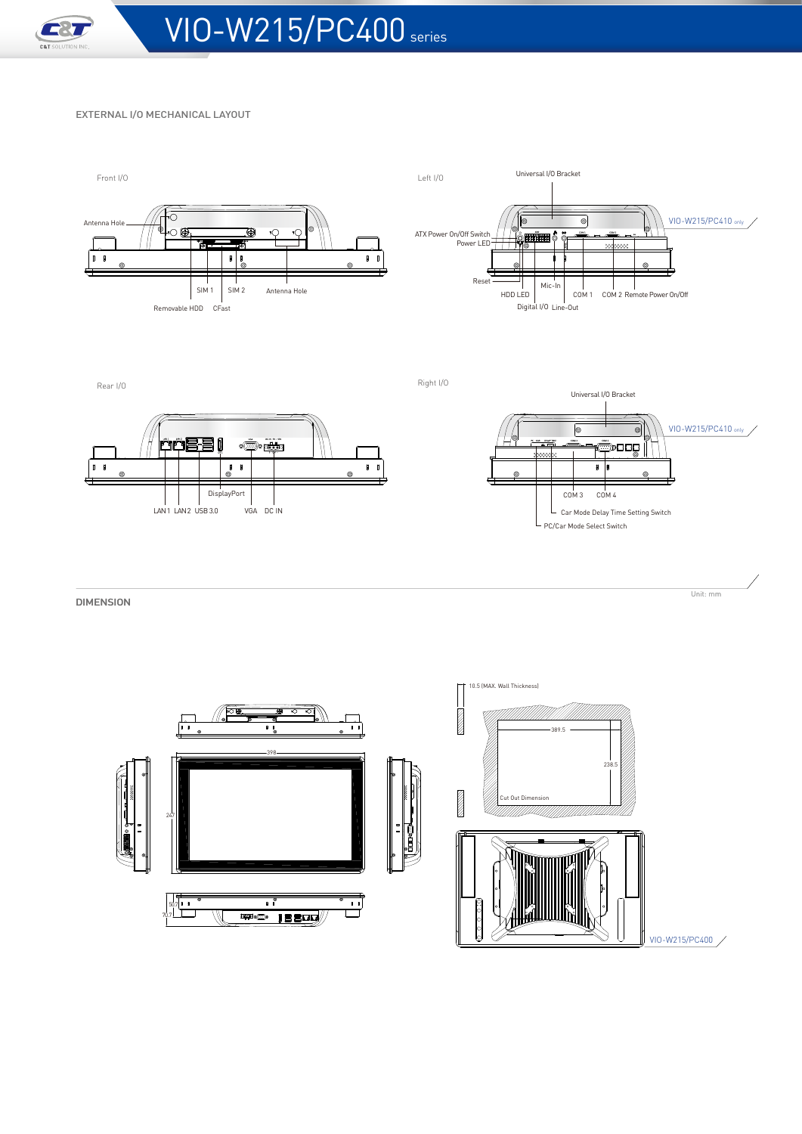

#### EXTERNAL I/O MECHANICAL LAYOUT